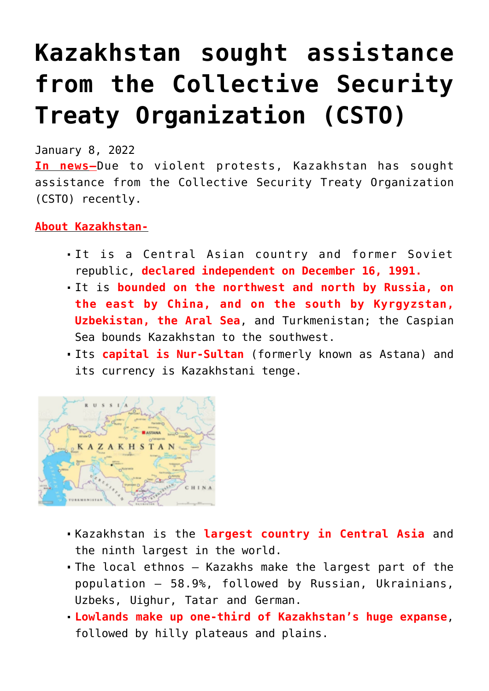## **[Kazakhstan sought assistance](https://journalsofindia.com/kazakhstan-sought-assistance-from-the-collective-security-treaty-organization-csto/) [from the Collective Security](https://journalsofindia.com/kazakhstan-sought-assistance-from-the-collective-security-treaty-organization-csto/) [Treaty Organization \(CSTO\)](https://journalsofindia.com/kazakhstan-sought-assistance-from-the-collective-security-treaty-organization-csto/)**

January 8, 2022

**In news–**Due to violent protests, Kazakhstan has sought assistance from the Collective Security Treaty Organization (CSTO) recently.

## **About Kazakhstan-**

- It is a Central Asian country and former Soviet republic, **declared independent on December 16, 1991.**
- It is **bounded on the northwest and north by Russia, on the east by China, and on the south by Kyrgyzstan, Uzbekistan, the Aral Sea**, and Turkmenistan; the Caspian Sea bounds Kazakhstan to the southwest.
- Its **capital is Nur-Sultan** (formerly known as Astana) and its currency is Kazakhstani tenge.



- Kazakhstan is the **largest country in Central Asia** and the ninth largest in the world.
- The local ethnos Kazakhs make the largest part of the population – 58.9%, followed by Russian, Ukrainians, Uzbeks, Uighur, Tatar and German.
- **Lowlands make up one-third of Kazakhstan's huge expanse**, followed by hilly plateaus and plains.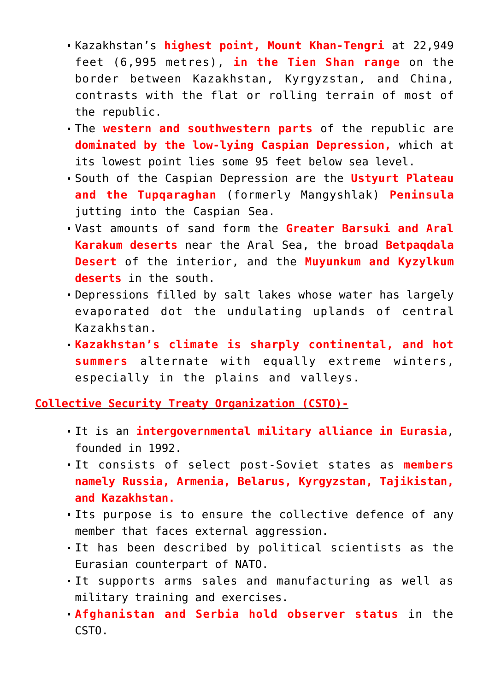- Kazakhstan's **highest point, Mount Khan-Tengri** at 22,949 feet (6,995 metres), **in the Tien Shan range** on the border between Kazakhstan, Kyrgyzstan, and China, contrasts with the flat or rolling terrain of most of the republic.
- The **western and southwestern parts** of the republic are **dominated by the low-lying Caspian Depression,** which at its lowest point lies some 95 feet below sea level.
- South of the Caspian Depression are the **Ustyurt Plateau and the Tupqaraghan** (formerly Mangyshlak) **Peninsula** jutting into the Caspian Sea.
- Vast amounts of sand form the **Greater Barsuki and Aral Karakum deserts** near the Aral Sea, the broad **Betpaqdala Desert** of the interior, and the **Muyunkum and Kyzylkum deserts** in the south.
- Depressions filled by salt lakes whose water has largely evaporated dot the undulating uplands of central Kazakhstan.
- **Kazakhstan's climate is sharply continental, and hot summers** alternate with equally extreme winters, especially in the plains and valleys.

**Collective Security Treaty Organization (CSTO)-**

- It is an **intergovernmental military alliance in Eurasia**, founded in 1992.
- It consists of select post-Soviet states as **members namely Russia, Armenia, Belarus, Kyrgyzstan, Tajikistan, and Kazakhstan.**
- Its purpose is to ensure the collective defence of any member that faces external aggression.
- It has been described by political scientists as the Eurasian counterpart of NATO.
- It supports arms sales and manufacturing as well as military training and exercises.
- **Afghanistan and Serbia hold observer status** in the CSTO.